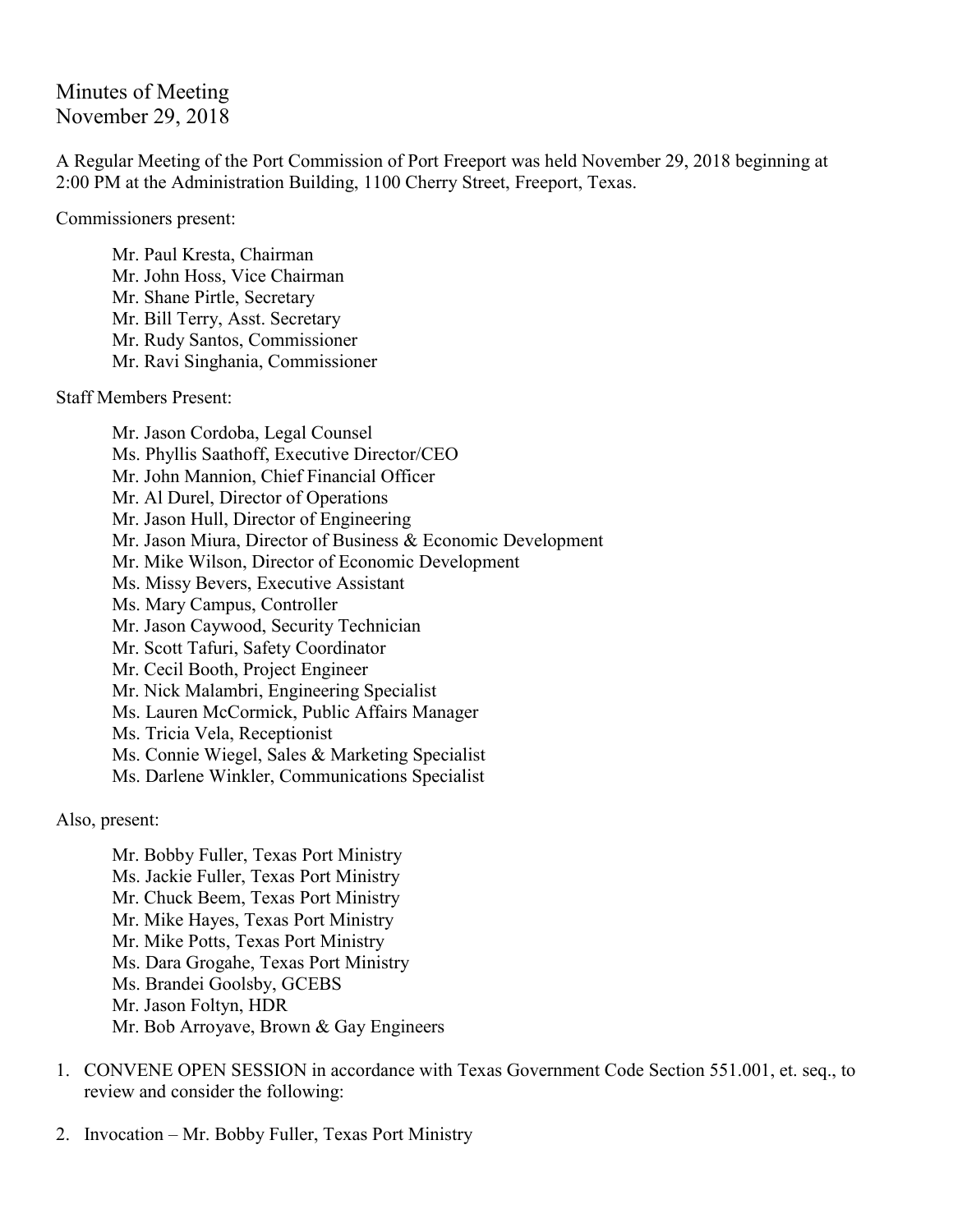Minutes of Meeting November 29, 2018

A Regular Meeting of the Port Commission of Port Freeport was held November 29, 2018 beginning at 2:00 PM at the Administration Building, 1100 Cherry Street, Freeport, Texas.

Commissioners present:

Mr. Paul Kresta, Chairman Mr. John Hoss, Vice Chairman Mr. Shane Pirtle, Secretary Mr. Bill Terry, Asst. Secretary Mr. Rudy Santos, Commissioner Mr. Ravi Singhania, Commissioner

Staff Members Present:

Mr. Jason Cordoba, Legal Counsel Ms. Phyllis Saathoff, Executive Director/CEO Mr. John Mannion, Chief Financial Officer Mr. Al Durel, Director of Operations Mr. Jason Hull, Director of Engineering Mr. Jason Miura, Director of Business & Economic Development Mr. Mike Wilson, Director of Economic Development Ms. Missy Bevers, Executive Assistant Ms. Mary Campus, Controller Mr. Jason Caywood, Security Technician Mr. Scott Tafuri, Safety Coordinator Mr. Cecil Booth, Project Engineer Mr. Nick Malambri, Engineering Specialist Ms. Lauren McCormick, Public Affairs Manager Ms. Tricia Vela, Receptionist Ms. Connie Wiegel, Sales & Marketing Specialist Ms. Darlene Winkler, Communications Specialist

Also, present:

Mr. Bobby Fuller, Texas Port Ministry Ms. Jackie Fuller, Texas Port Ministry Mr. Chuck Beem, Texas Port Ministry Mr. Mike Hayes, Texas Port Ministry Mr. Mike Potts, Texas Port Ministry Ms. Dara Grogahe, Texas Port Ministry Ms. Brandei Goolsby, GCEBS Mr. Jason Foltyn, HDR Mr. Bob Arroyave, Brown & Gay Engineers

- 1. CONVENE OPEN SESSION in accordance with Texas Government Code Section 551.001, et. seq., to review and consider the following:
- 2. Invocation Mr. Bobby Fuller, Texas Port Ministry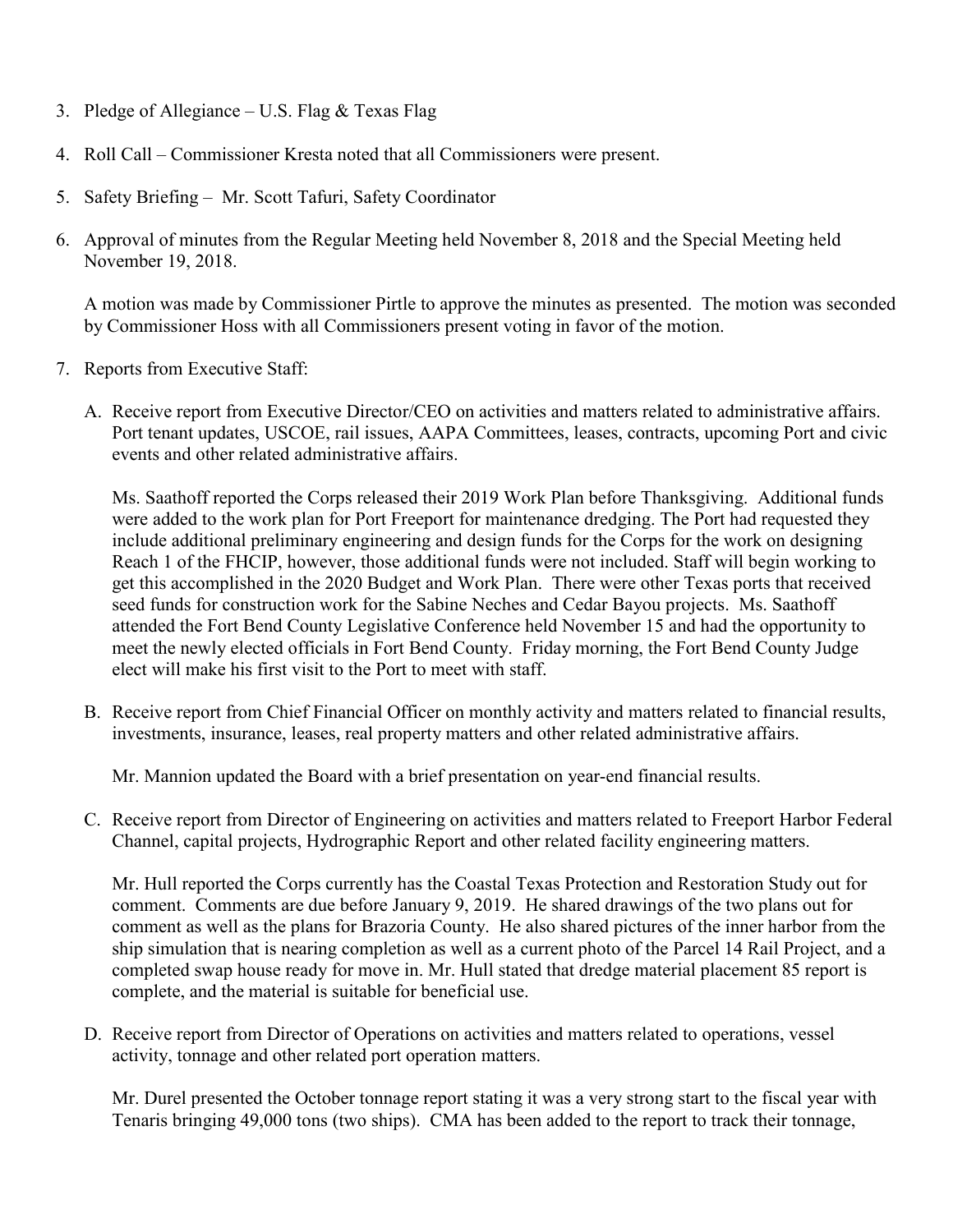- 3. Pledge of Allegiance U.S. Flag  $&$  Texas Flag
- 4. Roll Call Commissioner Kresta noted that all Commissioners were present.
- 5. Safety Briefing Mr. Scott Tafuri, Safety Coordinator
- 6. Approval of minutes from the Regular Meeting held November 8, 2018 and the Special Meeting held November 19, 2018.

A motion was made by Commissioner Pirtle to approve the minutes as presented. The motion was seconded by Commissioner Hoss with all Commissioners present voting in favor of the motion.

- 7. Reports from Executive Staff:
	- A. Receive report from Executive Director/CEO on activities and matters related to administrative affairs. Port tenant updates, USCOE, rail issues, AAPA Committees, leases, contracts, upcoming Port and civic events and other related administrative affairs.

Ms. Saathoff reported the Corps released their 2019 Work Plan before Thanksgiving. Additional funds were added to the work plan for Port Freeport for maintenance dredging. The Port had requested they include additional preliminary engineering and design funds for the Corps for the work on designing Reach 1 of the FHCIP, however, those additional funds were not included. Staff will begin working to get this accomplished in the 2020 Budget and Work Plan. There were other Texas ports that received seed funds for construction work for the Sabine Neches and Cedar Bayou projects. Ms. Saathoff attended the Fort Bend County Legislative Conference held November 15 and had the opportunity to meet the newly elected officials in Fort Bend County. Friday morning, the Fort Bend County Judge elect will make his first visit to the Port to meet with staff.

B. Receive report from Chief Financial Officer on monthly activity and matters related to financial results, investments, insurance, leases, real property matters and other related administrative affairs.

Mr. Mannion updated the Board with a brief presentation on year-end financial results.

C. Receive report from Director of Engineering on activities and matters related to Freeport Harbor Federal Channel, capital projects, Hydrographic Report and other related facility engineering matters.

Mr. Hull reported the Corps currently has the Coastal Texas Protection and Restoration Study out for comment. Comments are due before January 9, 2019. He shared drawings of the two plans out for comment as well as the plans for Brazoria County. He also shared pictures of the inner harbor from the ship simulation that is nearing completion as well as a current photo of the Parcel 14 Rail Project, and a completed swap house ready for move in. Mr. Hull stated that dredge material placement 85 report is complete, and the material is suitable for beneficial use.

D. Receive report from Director of Operations on activities and matters related to operations, vessel activity, tonnage and other related port operation matters.

Mr. Durel presented the October tonnage report stating it was a very strong start to the fiscal year with Tenaris bringing 49,000 tons (two ships). CMA has been added to the report to track their tonnage,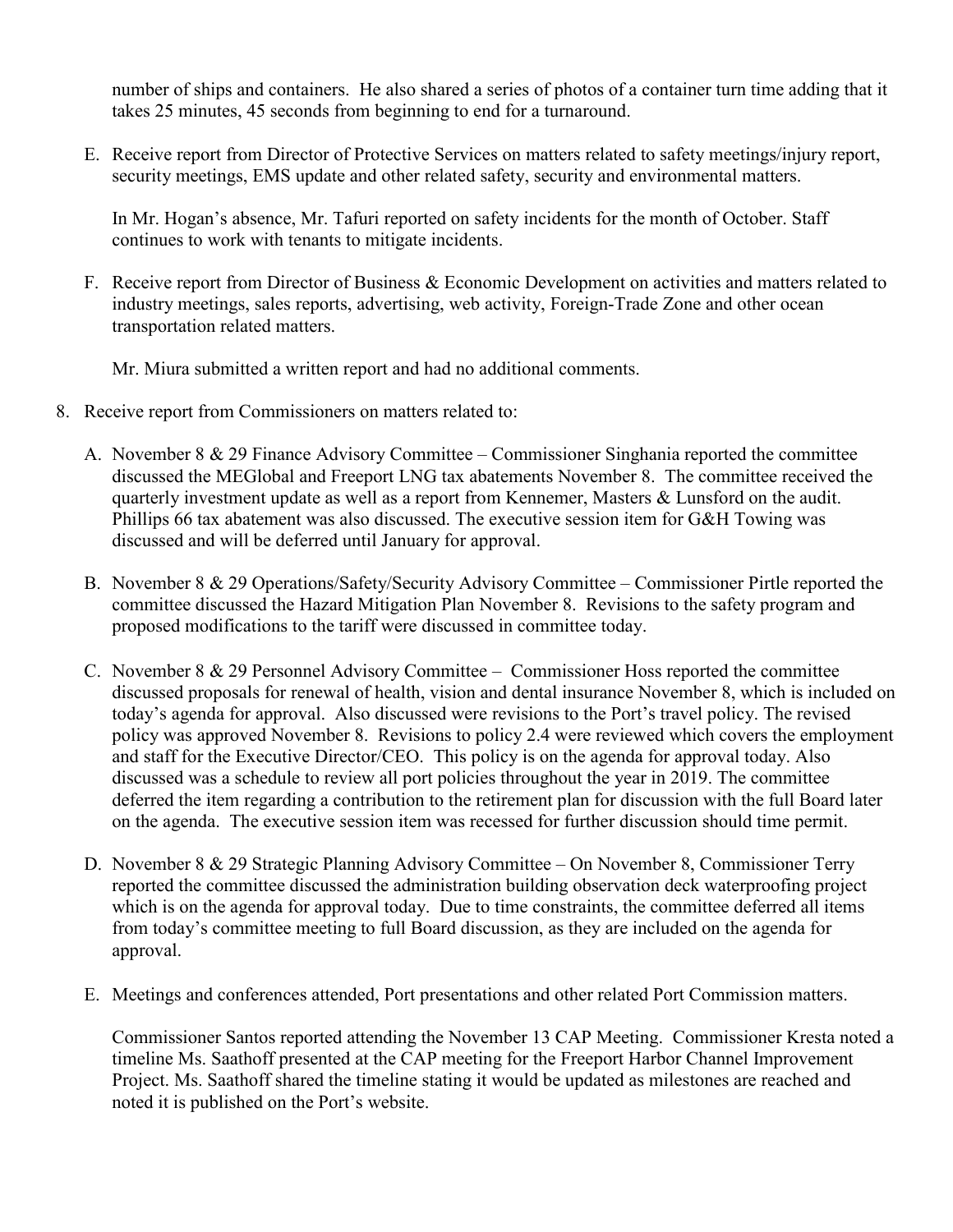number of ships and containers. He also shared a series of photos of a container turn time adding that it takes 25 minutes, 45 seconds from beginning to end for a turnaround.

E. Receive report from Director of Protective Services on matters related to safety meetings/injury report, security meetings, EMS update and other related safety, security and environmental matters.

In Mr. Hogan's absence, Mr. Tafuri reported on safety incidents for the month of October. Staff continues to work with tenants to mitigate incidents.

F. Receive report from Director of Business & Economic Development on activities and matters related to industry meetings, sales reports, advertising, web activity, Foreign-Trade Zone and other ocean transportation related matters.

Mr. Miura submitted a written report and had no additional comments.

- 8. Receive report from Commissioners on matters related to:
	- A. November 8 & 29 Finance Advisory Committee Commissioner Singhania reported the committee discussed the MEGlobal and Freeport LNG tax abatements November 8. The committee received the quarterly investment update as well as a report from Kennemer, Masters & Lunsford on the audit. Phillips 66 tax abatement was also discussed. The executive session item for G&H Towing was discussed and will be deferred until January for approval.
	- B. November 8 & 29 Operations/Safety/Security Advisory Committee Commissioner Pirtle reported the committee discussed the Hazard Mitigation Plan November 8. Revisions to the safety program and proposed modifications to the tariff were discussed in committee today.
	- C. November 8 & 29 Personnel Advisory Committee Commissioner Hoss reported the committee discussed proposals for renewal of health, vision and dental insurance November 8, which is included on today's agenda for approval. Also discussed were revisions to the Port's travel policy. The revised policy was approved November 8. Revisions to policy 2.4 were reviewed which covers the employment and staff for the Executive Director/CEO. This policy is on the agenda for approval today. Also discussed was a schedule to review all port policies throughout the year in 2019. The committee deferred the item regarding a contribution to the retirement plan for discussion with the full Board later on the agenda. The executive session item was recessed for further discussion should time permit.
	- D. November 8 & 29 Strategic Planning Advisory Committee On November 8, Commissioner Terry reported the committee discussed the administration building observation deck waterproofing project which is on the agenda for approval today. Due to time constraints, the committee deferred all items from today's committee meeting to full Board discussion, as they are included on the agenda for approval.
	- E. Meetings and conferences attended, Port presentations and other related Port Commission matters.

Commissioner Santos reported attending the November 13 CAP Meeting. Commissioner Kresta noted a timeline Ms. Saathoff presented at the CAP meeting for the Freeport Harbor Channel Improvement Project. Ms. Saathoff shared the timeline stating it would be updated as milestones are reached and noted it is published on the Port's website.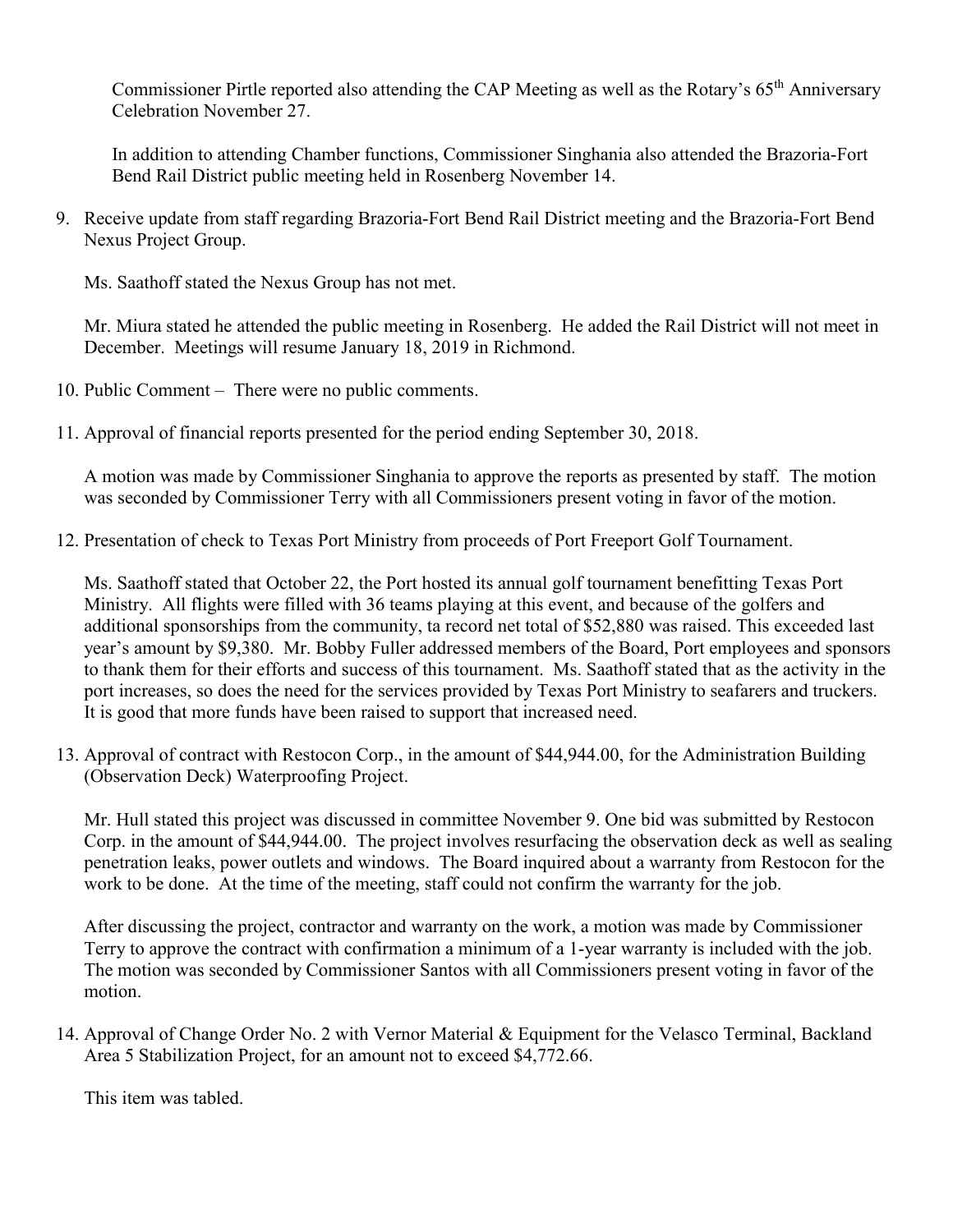Commissioner Pirtle reported also attending the CAP Meeting as well as the Rotary's 65<sup>th</sup> Anniversary Celebration November 27.

In addition to attending Chamber functions, Commissioner Singhania also attended the Brazoria-Fort Bend Rail District public meeting held in Rosenberg November 14.

9. Receive update from staff regarding Brazoria-Fort Bend Rail District meeting and the Brazoria-Fort Bend Nexus Project Group.

Ms. Saathoff stated the Nexus Group has not met.

Mr. Miura stated he attended the public meeting in Rosenberg. He added the Rail District will not meet in December. Meetings will resume January 18, 2019 in Richmond.

- 10. Public Comment There were no public comments.
- 11. Approval of financial reports presented for the period ending September 30, 2018.

A motion was made by Commissioner Singhania to approve the reports as presented by staff. The motion was seconded by Commissioner Terry with all Commissioners present voting in favor of the motion.

12. Presentation of check to Texas Port Ministry from proceeds of Port Freeport Golf Tournament.

Ms. Saathoff stated that October 22, the Port hosted its annual golf tournament benefitting Texas Port Ministry. All flights were filled with 36 teams playing at this event, and because of the golfers and additional sponsorships from the community, ta record net total of \$52,880 was raised. This exceeded last year's amount by \$9,380. Mr. Bobby Fuller addressed members of the Board, Port employees and sponsors to thank them for their efforts and success of this tournament. Ms. Saathoff stated that as the activity in the port increases, so does the need for the services provided by Texas Port Ministry to seafarers and truckers. It is good that more funds have been raised to support that increased need.

13. Approval of contract with Restocon Corp., in the amount of \$44,944.00, for the Administration Building (Observation Deck) Waterproofing Project.

Mr. Hull stated this project was discussed in committee November 9. One bid was submitted by Restocon Corp. in the amount of \$44,944.00. The project involves resurfacing the observation deck as well as sealing penetration leaks, power outlets and windows. The Board inquired about a warranty from Restocon for the work to be done. At the time of the meeting, staff could not confirm the warranty for the job.

After discussing the project, contractor and warranty on the work, a motion was made by Commissioner Terry to approve the contract with confirmation a minimum of a 1-year warranty is included with the job. The motion was seconded by Commissioner Santos with all Commissioners present voting in favor of the motion.

14. Approval of Change Order No. 2 with Vernor Material & Equipment for the Velasco Terminal, Backland Area 5 Stabilization Project, for an amount not to exceed \$4,772.66.

This item was tabled.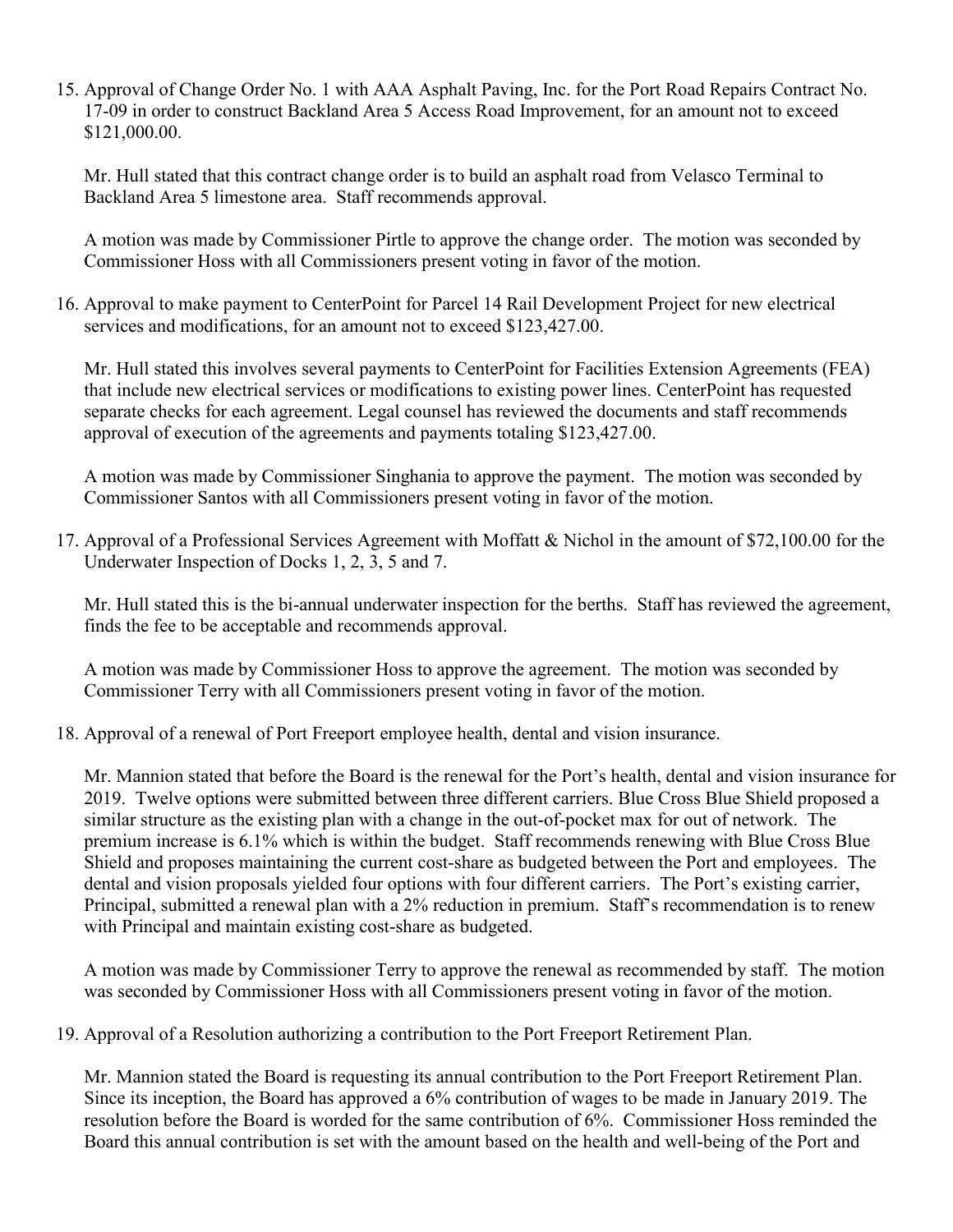15. Approval of Change Order No. 1 with AAA Asphalt Paving, Inc. for the Port Road Repairs Contract No. 17-09 in order to construct Backland Area 5 Access Road Improvement, for an amount not to exceed \$121,000.00.

Mr. Hull stated that this contract change order is to build an asphalt road from Velasco Terminal to Backland Area 5 limestone area. Staff recommends approval.

A motion was made by Commissioner Pirtle to approve the change order. The motion was seconded by Commissioner Hoss with all Commissioners present voting in favor of the motion.

16. Approval to make payment to CenterPoint for Parcel 14 Rail Development Project for new electrical services and modifications, for an amount not to exceed \$123,427.00.

Mr. Hull stated this involves several payments to CenterPoint for Facilities Extension Agreements (FEA) that include new electrical services or modifications to existing power lines. CenterPoint has requested separate checks for each agreement. Legal counsel has reviewed the documents and staff recommends approval of execution of the agreements and payments totaling \$123,427.00.

A motion was made by Commissioner Singhania to approve the payment. The motion was seconded by Commissioner Santos with all Commissioners present voting in favor of the motion.

17. Approval of a Professional Services Agreement with Moffatt & Nichol in the amount of \$72,100.00 for the Underwater Inspection of Docks 1, 2, 3, 5 and 7.

Mr. Hull stated this is the bi-annual underwater inspection for the berths. Staff has reviewed the agreement, finds the fee to be acceptable and recommends approval.

A motion was made by Commissioner Hoss to approve the agreement. The motion was seconded by Commissioner Terry with all Commissioners present voting in favor of the motion.

18. Approval of a renewal of Port Freeport employee health, dental and vision insurance.

Mr. Mannion stated that before the Board is the renewal for the Port's health, dental and vision insurance for 2019. Twelve options were submitted between three different carriers. Blue Cross Blue Shield proposed a similar structure as the existing plan with a change in the out-of-pocket max for out of network. The premium increase is 6.1% which is within the budget. Staff recommends renewing with Blue Cross Blue Shield and proposes maintaining the current cost-share as budgeted between the Port and employees. The dental and vision proposals yielded four options with four different carriers. The Port's existing carrier, Principal, submitted a renewal plan with a 2% reduction in premium. Staff's recommendation is to renew with Principal and maintain existing cost-share as budgeted.

A motion was made by Commissioner Terry to approve the renewal as recommended by staff. The motion was seconded by Commissioner Hoss with all Commissioners present voting in favor of the motion.

19. Approval of a Resolution authorizing a contribution to the Port Freeport Retirement Plan.

Mr. Mannion stated the Board is requesting its annual contribution to the Port Freeport Retirement Plan. Since its inception, the Board has approved a 6% contribution of wages to be made in January 2019. The resolution before the Board is worded for the same contribution of 6%. Commissioner Hoss reminded the Board this annual contribution is set with the amount based on the health and well-being of the Port and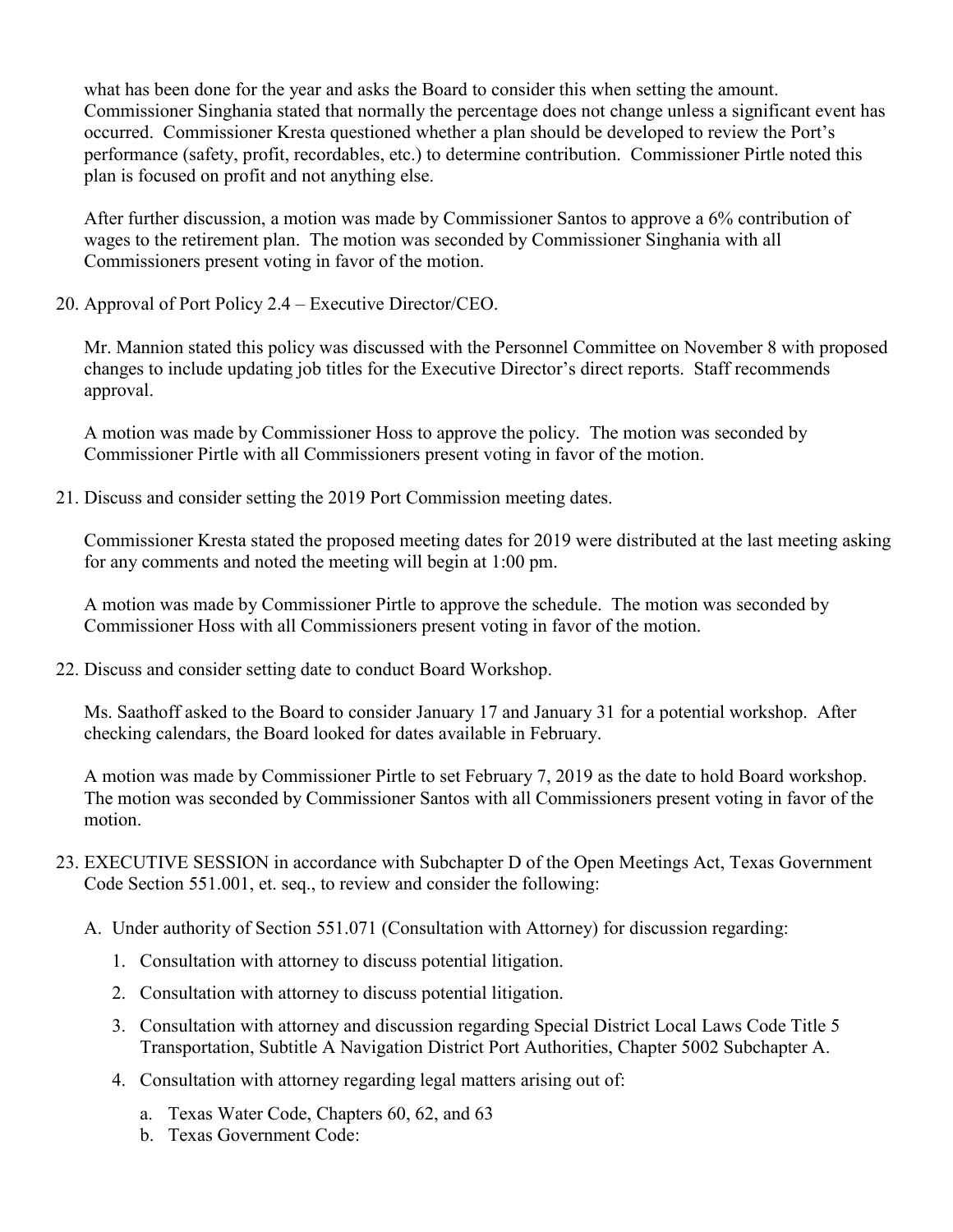what has been done for the year and asks the Board to consider this when setting the amount. Commissioner Singhania stated that normally the percentage does not change unless a significant event has occurred. Commissioner Kresta questioned whether a plan should be developed to review the Port's performance (safety, profit, recordables, etc.) to determine contribution. Commissioner Pirtle noted this plan is focused on profit and not anything else.

After further discussion, a motion was made by Commissioner Santos to approve a 6% contribution of wages to the retirement plan. The motion was seconded by Commissioner Singhania with all Commissioners present voting in favor of the motion.

20. Approval of Port Policy 2.4 – Executive Director/CEO.

Mr. Mannion stated this policy was discussed with the Personnel Committee on November 8 with proposed changes to include updating job titles for the Executive Director's direct reports. Staff recommends approval.

A motion was made by Commissioner Hoss to approve the policy. The motion was seconded by Commissioner Pirtle with all Commissioners present voting in favor of the motion.

21. Discuss and consider setting the 2019 Port Commission meeting dates.

Commissioner Kresta stated the proposed meeting dates for 2019 were distributed at the last meeting asking for any comments and noted the meeting will begin at 1:00 pm.

A motion was made by Commissioner Pirtle to approve the schedule. The motion was seconded by Commissioner Hoss with all Commissioners present voting in favor of the motion.

22. Discuss and consider setting date to conduct Board Workshop.

Ms. Saathoff asked to the Board to consider January 17 and January 31 for a potential workshop. After checking calendars, the Board looked for dates available in February.

A motion was made by Commissioner Pirtle to set February 7, 2019 as the date to hold Board workshop. The motion was seconded by Commissioner Santos with all Commissioners present voting in favor of the motion.

- 23. EXECUTIVE SESSION in accordance with Subchapter D of the Open Meetings Act, Texas Government Code Section 551.001, et. seq., to review and consider the following:
	- A. Under authority of Section 551.071 (Consultation with Attorney) for discussion regarding:
		- 1. Consultation with attorney to discuss potential litigation.
		- 2. Consultation with attorney to discuss potential litigation.
		- 3. Consultation with attorney and discussion regarding Special District Local Laws Code Title 5 Transportation, Subtitle A Navigation District Port Authorities, Chapter 5002 Subchapter A.
		- 4. Consultation with attorney regarding legal matters arising out of:
			- a. Texas Water Code, Chapters 60, 62, and 63
			- b. Texas Government Code: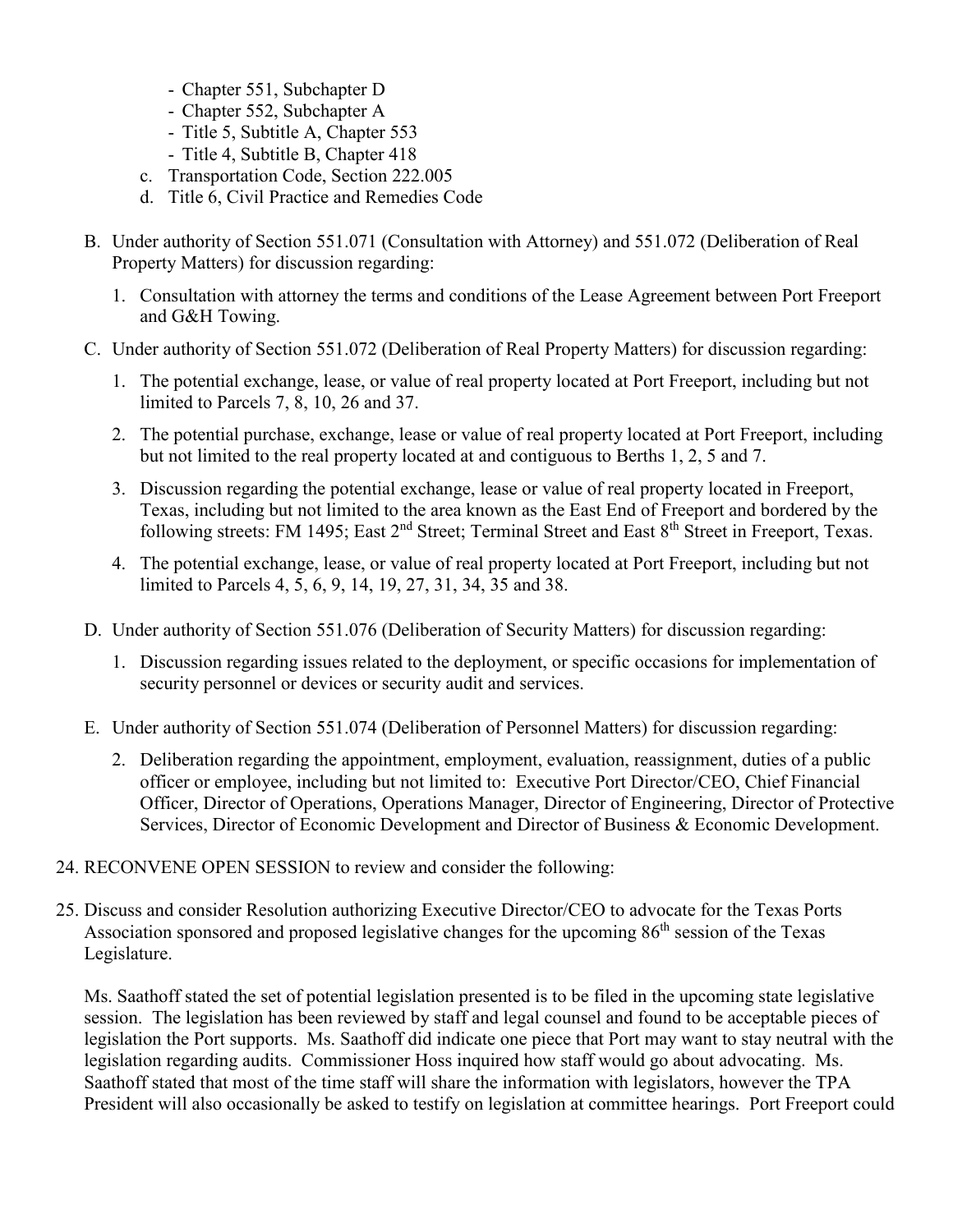- Chapter 551, Subchapter D
- Chapter 552, Subchapter A
- Title 5, Subtitle A, Chapter 553
- Title 4, Subtitle B, Chapter 418
- c. Transportation Code, Section 222.005
- d. Title 6, Civil Practice and Remedies Code
- B. Under authority of Section 551.071 (Consultation with Attorney) and 551.072 (Deliberation of Real Property Matters) for discussion regarding:
	- 1. Consultation with attorney the terms and conditions of the Lease Agreement between Port Freeport and G&H Towing.
- C. Under authority of Section 551.072 (Deliberation of Real Property Matters) for discussion regarding:
	- 1. The potential exchange, lease, or value of real property located at Port Freeport, including but not limited to Parcels 7, 8, 10, 26 and 37.
	- 2. The potential purchase, exchange, lease or value of real property located at Port Freeport, including but not limited to the real property located at and contiguous to Berths 1, 2, 5 and 7.
	- 3. Discussion regarding the potential exchange, lease or value of real property located in Freeport, Texas, including but not limited to the area known as the East End of Freeport and bordered by the following streets: FM 1495; East 2<sup>nd</sup> Street; Terminal Street and East 8<sup>th</sup> Street in Freeport, Texas.
	- 4. The potential exchange, lease, or value of real property located at Port Freeport, including but not limited to Parcels 4, 5, 6, 9, 14, 19, 27, 31, 34, 35 and 38.
- D. Under authority of Section 551.076 (Deliberation of Security Matters) for discussion regarding:
	- 1. Discussion regarding issues related to the deployment, or specific occasions for implementation of security personnel or devices or security audit and services.
- E. Under authority of Section 551.074 (Deliberation of Personnel Matters) for discussion regarding:
	- 2. Deliberation regarding the appointment, employment, evaluation, reassignment, duties of a public officer or employee, including but not limited to: Executive Port Director/CEO, Chief Financial Officer, Director of Operations, Operations Manager, Director of Engineering, Director of Protective Services, Director of Economic Development and Director of Business & Economic Development.
- 24. RECONVENE OPEN SESSION to review and consider the following:
- 25. Discuss and consider Resolution authorizing Executive Director/CEO to advocate for the Texas Ports Association sponsored and proposed legislative changes for the upcoming  $86<sup>th</sup>$  session of the Texas Legislature.

Ms. Saathoff stated the set of potential legislation presented is to be filed in the upcoming state legislative session. The legislation has been reviewed by staff and legal counsel and found to be acceptable pieces of legislation the Port supports. Ms. Saathoff did indicate one piece that Port may want to stay neutral with the legislation regarding audits. Commissioner Hoss inquired how staff would go about advocating. Ms. Saathoff stated that most of the time staff will share the information with legislators, however the TPA President will also occasionally be asked to testify on legislation at committee hearings. Port Freeport could